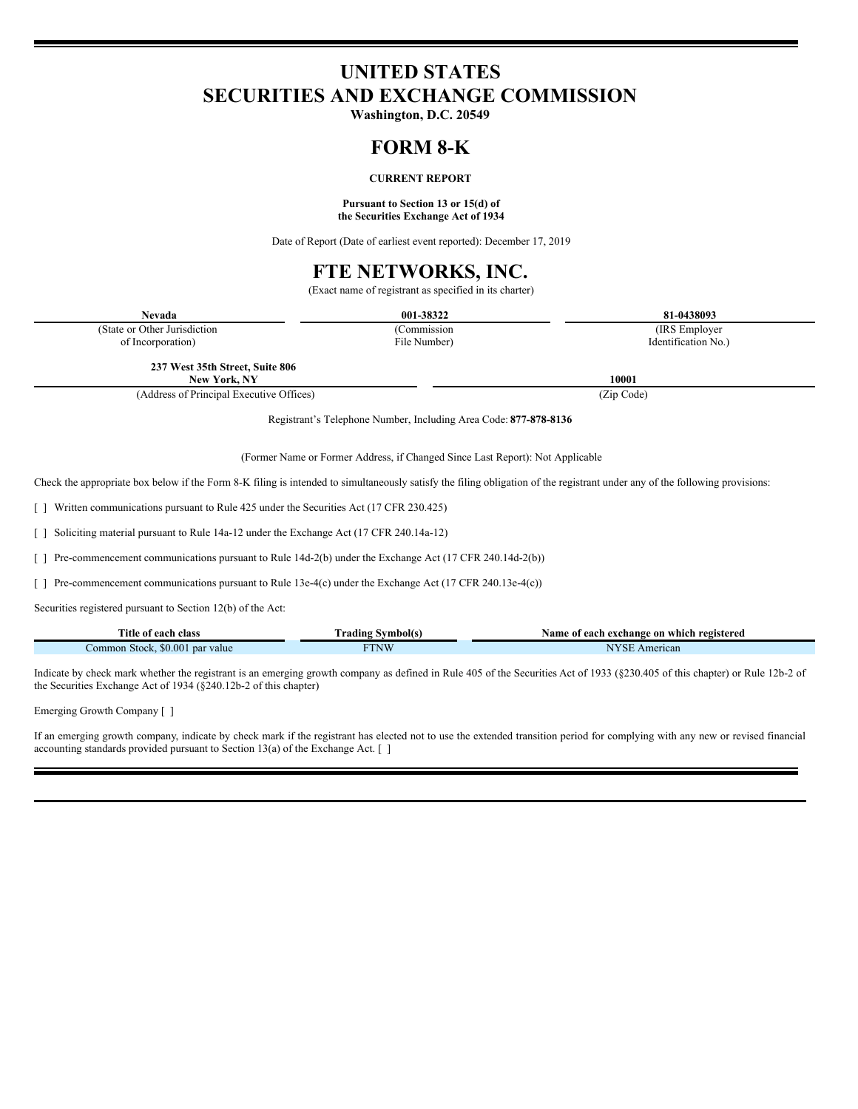# **UNITED STATES SECURITIES AND EXCHANGE COMMISSION**

**Washington, D.C. 20549**

## **FORM 8-K**

## **CURRENT REPORT**

### **Pursuant to Section 13 or 15(d) of the Securities Exchange Act of 1934**

Date of Report (Date of earliest event reported): December 17, 2019

## **FTE NETWORKS, INC.**

(Exact name of registrant as specified in its charter)

| <b>Nevada</b>                                                                                             | 001-38322                                                                     | 81-0438093                                                                                                                                                                  |
|-----------------------------------------------------------------------------------------------------------|-------------------------------------------------------------------------------|-----------------------------------------------------------------------------------------------------------------------------------------------------------------------------|
| (State or Other Jurisdiction                                                                              | (Commission                                                                   | (IRS Employer                                                                                                                                                               |
| of Incorporation)                                                                                         | File Number)                                                                  | Identification No.)                                                                                                                                                         |
| 237 West 35th Street, Suite 806                                                                           |                                                                               |                                                                                                                                                                             |
| New York, NY                                                                                              |                                                                               | 10001                                                                                                                                                                       |
| (Address of Principal Executive Offices)                                                                  |                                                                               | (Zip Code)                                                                                                                                                                  |
|                                                                                                           | Registrant's Telephone Number, Including Area Code: 877-878-8136              |                                                                                                                                                                             |
|                                                                                                           | (Former Name or Former Address, if Changed Since Last Report): Not Applicable |                                                                                                                                                                             |
|                                                                                                           |                                                                               | Check the appropriate box below if the Form 8-K filing is intended to simultaneously satisfy the filing obligation of the registrant under any of the following provisions: |
| T Written communications pursuant to Rule 425 under the Securities Act (17 CFR 230.425)                   |                                                                               |                                                                                                                                                                             |
| Soliciting material pursuant to Rule 14a-12 under the Exchange Act (17 CFR 240.14a-12)                    |                                                                               |                                                                                                                                                                             |
| [] Pre-commencement communications pursuant to Rule 14d-2(b) under the Exchange Act (17 CFR 240.14d-2(b)) |                                                                               |                                                                                                                                                                             |
| F Pre-commencement communications pursuant to Rule 13e-4(c) under the Exchange Act (17 CFR 240.13e-4(c))  |                                                                               |                                                                                                                                                                             |
| Securities registered pursuant to Section 12(b) of the Act:                                               |                                                                               |                                                                                                                                                                             |
| Title of each class                                                                                       | <b>Trading Symbol(s)</b>                                                      | Name of each exchange on which registered                                                                                                                                   |
| Common Stock, \$0.001 par value                                                                           | <b>FTNW</b>                                                                   | <b>NYSE</b> American                                                                                                                                                        |
|                                                                                                           |                                                                               |                                                                                                                                                                             |

Indicate by check mark whether the registrant is an emerging growth company as defined in Rule 405 of the Securities Act of 1933 (§230.405 of this chapter) or Rule 12b-2 of the Securities Exchange Act of 1934 (§240.12b-2 of this chapter)

Emerging Growth Company [ ]

If an emerging growth company, indicate by check mark if the registrant has elected not to use the extended transition period for complying with any new or revised financial accounting standards provided pursuant to Section 13(a) of the Exchange Act.  $\lceil \ \rceil$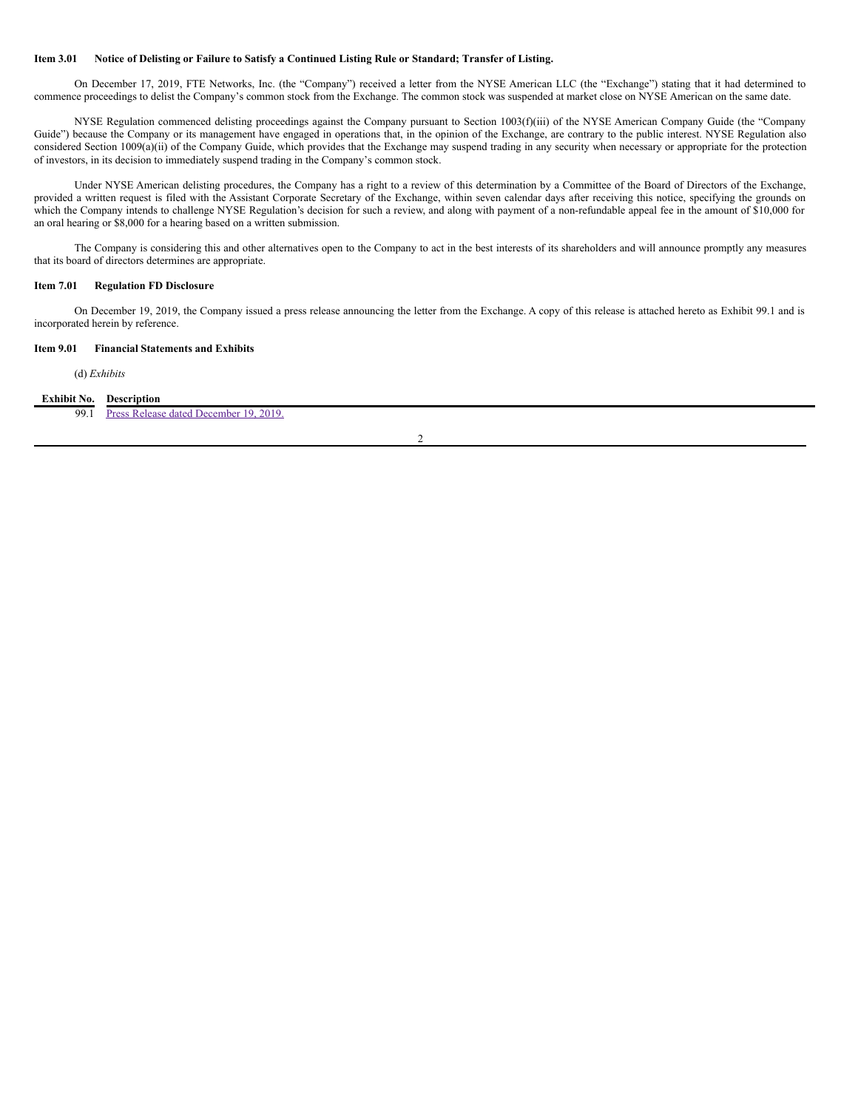#### Item 3.01 Notice of Delisting or Failure to Satisfy a Continued Listing Rule or Standard; Transfer of Listing.

On December 17, 2019, FTE Networks, Inc. (the "Company") received a letter from the NYSE American LLC (the "Exchange") stating that it had determined to commence proceedings to delist the Company's common stock from the Exchange. The common stock was suspended at market close on NYSE American on the same date.

NYSE Regulation commenced delisting proceedings against the Company pursuant to Section 1003(f)(iii) of the NYSE American Company Guide (the "Company Guide") because the Company or its management have engaged in operations that, in the opinion of the Exchange, are contrary to the public interest. NYSE Regulation also considered Section 1009(a)(ii) of the Company Guide, which provides that the Exchange may suspend trading in any security when necessary or appropriate for the protection of investors, in its decision to immediately suspend trading in the Company's common stock.

Under NYSE American delisting procedures, the Company has a right to a review of this determination by a Committee of the Board of Directors of the Exchange, provided a written request is filed with the Assistant Corporate Secretary of the Exchange, within seven calendar days after receiving this notice, specifying the grounds on which the Company intends to challenge NYSE Regulation's decision for such a review, and along with payment of a non-refundable appeal fee in the amount of \$10,000 for an oral hearing or \$8,000 for a hearing based on a written submission.

The Company is considering this and other alternatives open to the Company to act in the best interests of its shareholders and will announce promptly any measures that its board of directors determines are appropriate.

#### **Item 7.01 Regulation FD Disclosure**

On December 19, 2019, the Company issued a press release announcing the letter from the Exchange. A copy of this release is attached hereto as Exhibit 99.1 and is incorporated herein by reference.

## **Item 9.01 Financial Statements and Exhibits**

(d) *Exhibits*

### **Exhibit No. Description**

99.1 Press Release dated [December](#page-4-0) 19, 2019.

2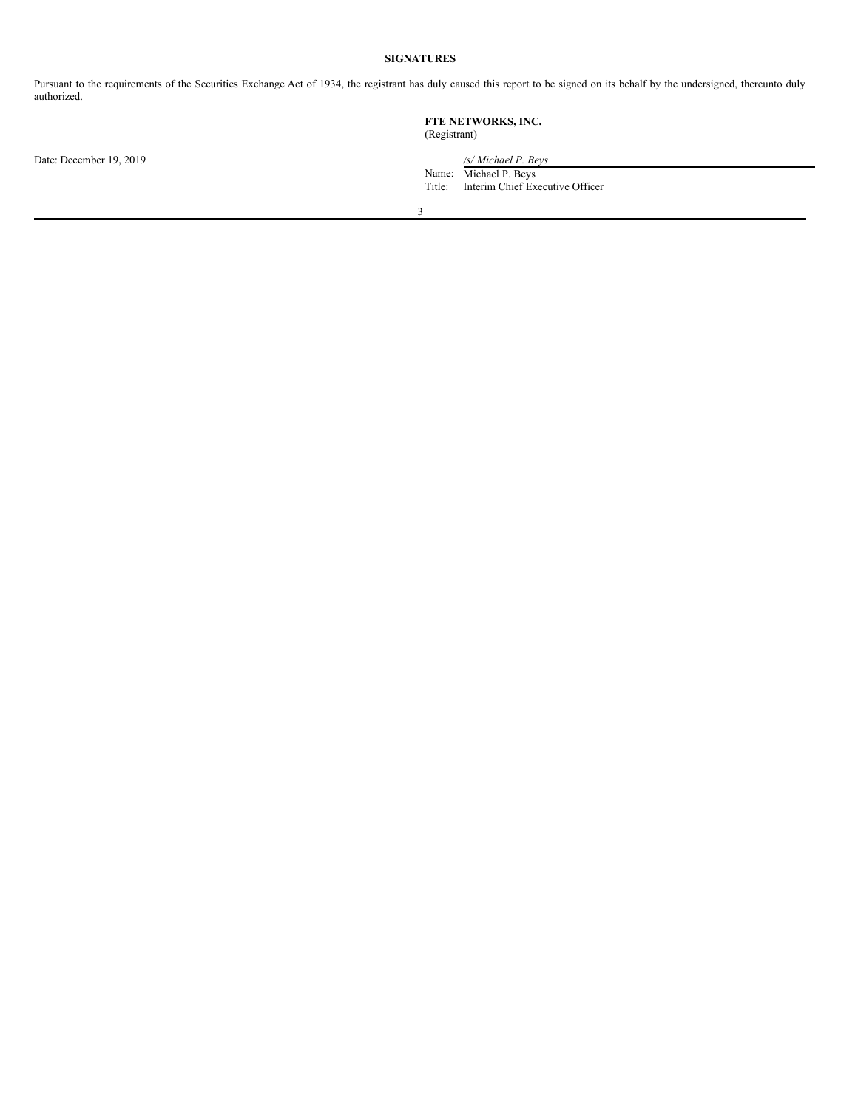## **SIGNATURES**

Pursuant to the requirements of the Securities Exchange Act of 1934, the registrant has duly caused this report to be signed on its behalf by the undersigned, thereunto duly authorized.

|                         | FTE NETWORKS, INC.<br>(Registrant)                                                           |  |  |
|-------------------------|----------------------------------------------------------------------------------------------|--|--|
| Date: December 19, 2019 | /s/ Michael P. Beys<br>Michael P. Beys<br>Name:<br>Interim Chief Executive Officer<br>Title: |  |  |
|                         | ∍                                                                                            |  |  |
|                         |                                                                                              |  |  |